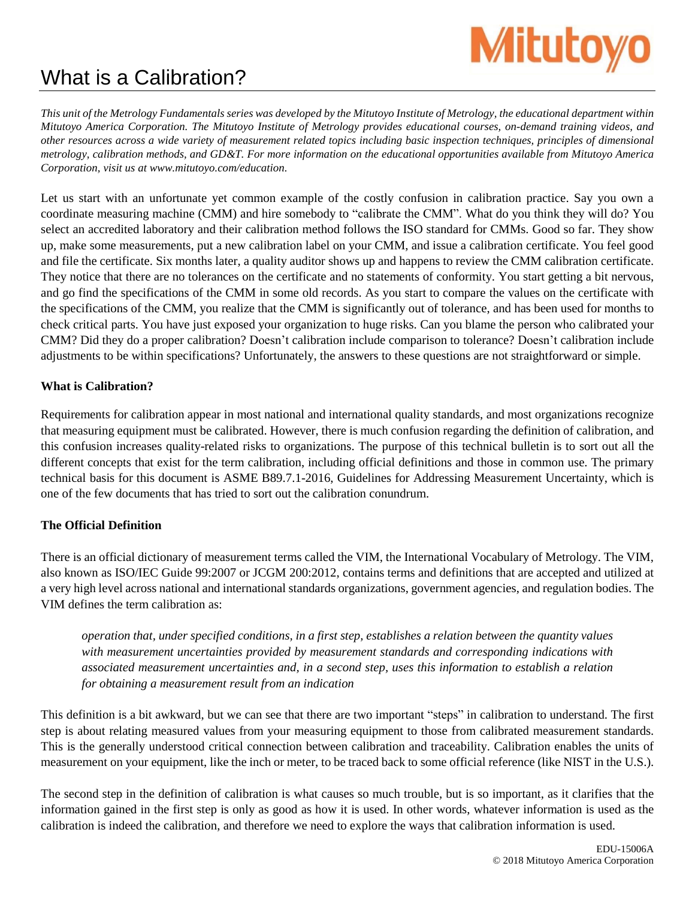# **Mitutoyo**

# What is a Calibration?

This unit of the Metrology Fundamentals series was developed by the Mitutoyo Institute of Metrology, the educational department within Mitutoyo America Corporation. The Mitutoyo Institute of Metrology provides educational courses, on-demand training videos, and other resources across a wide variety of measurement related topics including basic inspection techniques, principles of dimensional metrology, calibration methods, and GD&T. For more information on the educational opportunities available from Mitutoyo America *Corporation, visit us at [www.mitutoyo.com/education.](http://www.mitutoyo.com/education)*

Let us start with an unfortunate yet common example of the costly confusion in calibration practice. Say you own a coordinate measuring machine (CMM) and hire somebody to "calibrate the CMM". What do you think they will do? You select an accredited laboratory and their calibration method follows the ISO standard for CMMs. Good so far. They show up, make some measurements, put a new calibration label on your CMM, and issue a calibration certificate. You feel good and file the certificate. Six months later, a quality auditor shows up and happens to review the CMM calibration certificate. They notice that there are no tolerances on the certificate and no statements of conformity. You start getting a bit nervous, and go find the specifications of the CMM in some old records. As you start to compare the values on the certificate with the specifications of the CMM, you realize that the CMM is significantly out of tolerance, and has been used for months to check critical parts. You have just exposed your organization to huge risks. Can you blame the person who calibrated your CMM? Did they do a proper calibration? Doesn't calibration include comparison to tolerance? Doesn't calibration include adjustments to be within specifications? Unfortunately, the answers to these questions are not straightforward or simple.

# **What is Calibration?**

Requirements for calibration appear in most national and international quality standards, and most organizations recognize that measuring equipment must be calibrated. However, there is much confusion regarding the definition of calibration, and this confusion increases quality-related risks to organizations. The purpose of this technical bulletin is to sort out all the different concepts that exist for the term calibration, including official definitions and those in common use. The primary technical basis for this document is ASME B89.7.1-2016, Guidelines for Addressing Measurement Uncertainty, which is one of the few documents that has tried to sort out the calibration conundrum.

# **The Official Definition**

There is an official dictionary of measurement terms called the VIM, the International Vocabulary of Metrology. The VIM, also known as ISO/IEC Guide 99:2007 or JCGM 200:2012, contains terms and definitions that are accepted and utilized at a very high level across national and international standards organizations, government agencies, and regulation bodies. The VIM defines the term calibration as:

*operation that, under specified conditions, in a first step, establishes a relation between the quantity values with measurement uncertainties provided by measurement standards and corresponding indications with associated measurement uncertainties and, in a second step, uses this information to establish a relation for obtaining a measurement result from an indication*

This definition is a bit awkward, but we can see that there are two important "steps" in calibration to understand. The first step is about relating measured values from your measuring equipment to those from calibrated measurement standards. This is the generally understood critical connection between calibration and traceability. Calibration enables the units of measurement on your equipment, like the inch or meter, to be traced back to some official reference (like NIST in the U.S.).

The second step in the definition of calibration is what causes so much trouble, but is so important, as it clarifies that the information gained in the first step is only as good as how it is used. In other words, whatever information is used as the calibration is indeed the calibration, and therefore we need to explore the ways that calibration information is used.